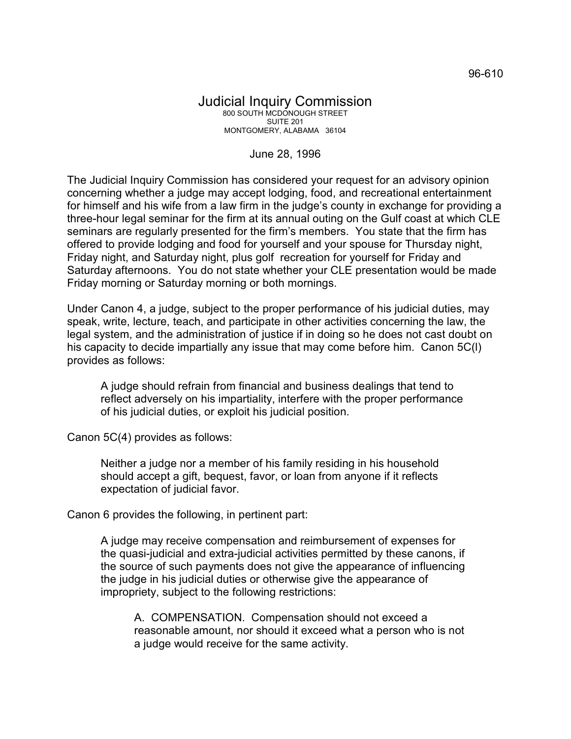## Judicial Inquiry Commission 800 SOUTH MCDONOUGH STREET SUITE 201 MONTGOMERY, ALABAMA 36104

## June 28, 1996

The Judicial Inquiry Commission has considered your request for an advisory opinion concerning whether a judge may accept lodging, food, and recreational entertainment for himself and his wife from a law firm in the judge's county in exchange for providing a three-hour legal seminar for the firm at its annual outing on the Gulf coast at which CLE seminars are regularly presented for the firm's members. You state that the firm has offered to provide lodging and food for yourself and your spouse for Thursday night, Friday night, and Saturday night, plus golf recreation for yourself for Friday and Saturday afternoons. You do not state whether your CLE presentation would be made Friday morning or Saturday morning or both mornings.

Under Canon 4, a judge, subject to the proper performance of his judicial duties, may speak, write, lecture, teach, and participate in other activities concerning the law, the legal system, and the administration of justice if in doing so he does not cast doubt on his capacity to decide impartially any issue that may come before him. Canon 5C(l) provides as follows:

A judge should refrain from financial and business dealings that tend to reflect adversely on his impartiality, interfere with the proper performance of his judicial duties, or exploit his judicial position.

Canon 5C(4) provides as follows:

Neither a judge nor a member of his family residing in his household should accept a gift, bequest, favor, or loan from anyone if it reflects expectation of judicial favor.

Canon 6 provides the following, in pertinent part:

A judge may receive compensation and reimbursement of expenses for the quasi-judicial and extra-judicial activities permitted by these canons, if the source of such payments does not give the appearance of influencing the judge in his judicial duties or otherwise give the appearance of impropriety, subject to the following restrictions:

A. COMPENSATION. Compensation should not exceed a reasonable amount, nor should it exceed what a person who is not a judge would receive for the same activity.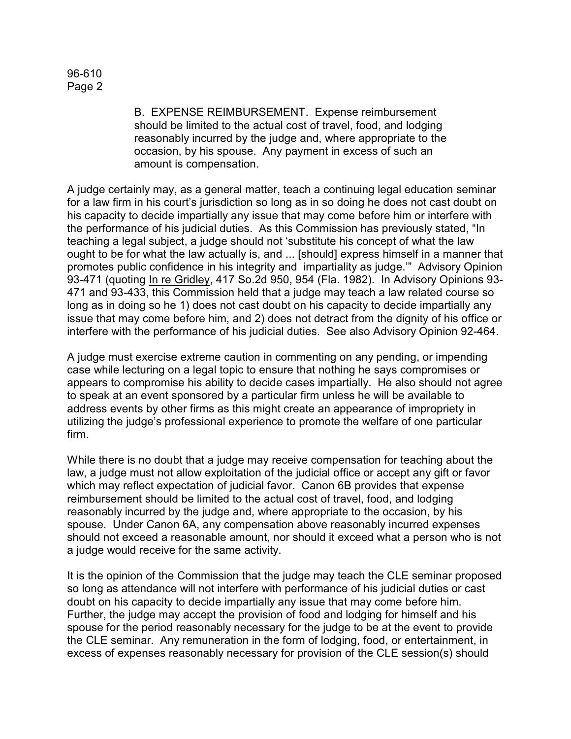B. EXPENSE REIMBURSEMENT. Expense reimbursement should be limited to the actual cost of travel, food, and lodging reasonably incurred by the judge and, where appropriate to the occasion, by his spouse. Any payment in excess of such an amount is compensation.

A judge certainly may, as a general matter, teach a continuing legal education seminar for a law firm in his court's jurisdiction so long as in so doing he does not cast doubt on his capacity to decide impartially any issue that may come before him or interfere with the performance of his judicial duties. As this Commission has previously stated, "In teaching a legal subject, a judge should not 'substitute his concept of what the law ought to be for what the law actually is, and ... [should] express himself in a manner that promotes public confidence in his integrity and impartiality as judge.'" Advisory Opinion 93-471 (quoting In re Gridley, 417 So.2d 950, 954 (Fla. 1982). In Advisory Opinions 93- 471 and 93-433, this Commission held that a judge may teach a law related course so long as in doing so he 1) does not cast doubt on his capacity to decide impartially any issue that may come before him, and 2) does not detract from the dignity of his office or interfere with the performance of his judicial duties. See also Advisory Opinion 92-464.

A judge must exercise extreme caution in commenting on any pending, or impending case while lecturing on a legal topic to ensure that nothing he says compromises or appears to compromise his ability to decide cases impartially. He also should not agree to speak at an event sponsored by a particular firm unless he will be available to address events by other firms as this might create an appearance of impropriety in utilizing the judge's professional experience to promote the welfare of one particular firm.

While there is no doubt that a judge may receive compensation for teaching about the law, a judge must not allow exploitation of the judicial office or accept any gift or favor which may reflect expectation of judicial favor. Canon 6B provides that expense reimbursement should be limited to the actual cost of travel, food, and lodging reasonably incurred by the judge and, where appropriate to the occasion, by his spouse. Under Canon 6A, any compensation above reasonably incurred expenses should not exceed a reasonable amount, nor should it exceed what a person who is not a judge would receive for the same activity.

It is the opinion of the Commission that the judge may teach the CLE seminar proposed so long as attendance will not interfere with performance of his judicial duties or cast doubt on his capacity to decide impartially any issue that may come before him. Further, the judge may accept the provision of food and lodging for himself and his spouse for the period reasonably necessary for the judge to be at the event to provide the CLE seminar. Any remuneration in the form of lodging, food, or entertainment, in excess of expenses reasonably necessary for provision of the CLE session(s) should